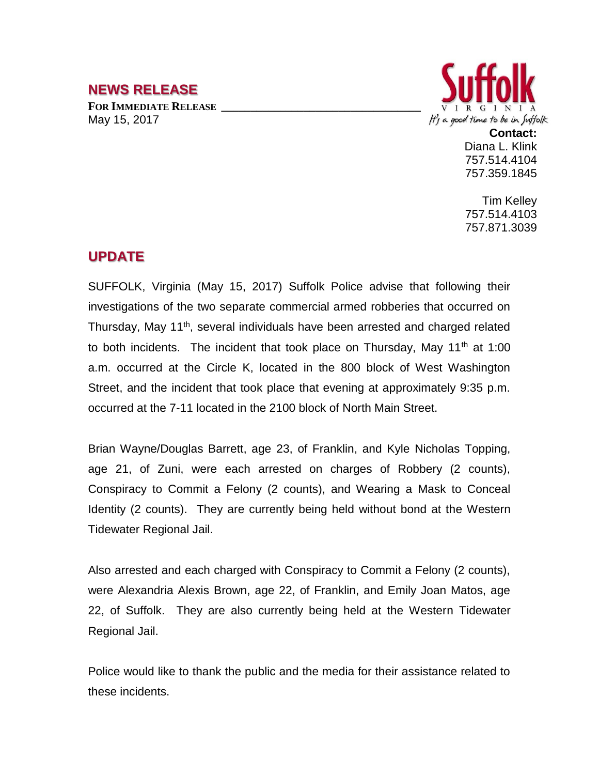## **NEWS RELEASE**

**FOR IMMEDIATE RELEASE \_\_\_\_\_\_\_\_\_\_\_\_\_\_\_\_\_\_\_\_\_\_\_\_\_\_\_\_\_\_\_\_\_\_** May 15, 2017



**Contact:** Diana L. Klink 757.514.4104 757.359.1845

Tim Kelley 757.514.4103 757.871.3039

## **UPDATE**

SUFFOLK, Virginia (May 15, 2017) Suffolk Police advise that following their investigations of the two separate commercial armed robberies that occurred on Thursday, May 11<sup>th</sup>, several individuals have been arrested and charged related to both incidents. The incident that took place on Thursday, May  $11<sup>th</sup>$  at 1:00 a.m. occurred at the Circle K, located in the 800 block of West Washington Street, and the incident that took place that evening at approximately 9:35 p.m. occurred at the 7-11 located in the 2100 block of North Main Street.

Brian Wayne/Douglas Barrett, age 23, of Franklin, and Kyle Nicholas Topping, age 21, of Zuni, were each arrested on charges of Robbery (2 counts), Conspiracy to Commit a Felony (2 counts), and Wearing a Mask to Conceal Identity (2 counts). They are currently being held without bond at the Western Tidewater Regional Jail.

Also arrested and each charged with Conspiracy to Commit a Felony (2 counts), were Alexandria Alexis Brown, age 22, of Franklin, and Emily Joan Matos, age 22, of Suffolk. They are also currently being held at the Western Tidewater Regional Jail.

Police would like to thank the public and the media for their assistance related to these incidents.